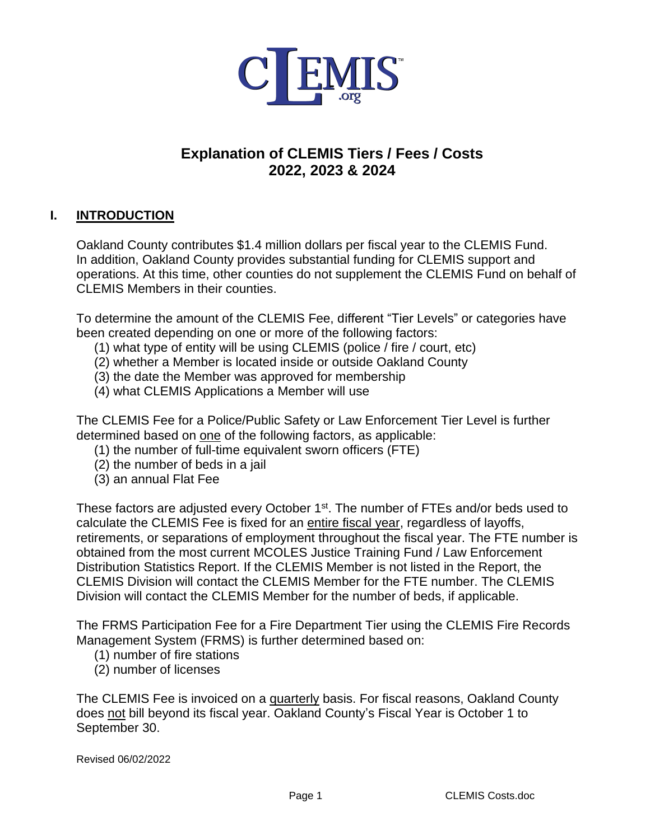

# **Explanation of CLEMIS Tiers / Fees / Costs 2022, 2023 & 2024**

## **I. INTRODUCTION**

Oakland County contributes \$1.4 million dollars per fiscal year to the CLEMIS Fund. In addition, Oakland County provides substantial funding for CLEMIS support and operations. At this time, other counties do not supplement the CLEMIS Fund on behalf of CLEMIS Members in their counties.

To determine the amount of the CLEMIS Fee, different "Tier Levels" or categories have been created depending on one or more of the following factors:

- (1) what type of entity will be using CLEMIS (police / fire / court, etc)
- (2) whether a Member is located inside or outside Oakland County
- (3) the date the Member was approved for membership
- (4) what CLEMIS Applications a Member will use

The CLEMIS Fee for a Police/Public Safety or Law Enforcement Tier Level is further determined based on one of the following factors, as applicable:

- (1) the number of full-time equivalent sworn officers (FTE)
- (2) the number of beds in a jail
- (3) an annual Flat Fee

These factors are adjusted every October 1<sup>st</sup>. The number of FTEs and/or beds used to calculate the CLEMIS Fee is fixed for an entire fiscal year, regardless of layoffs, retirements, or separations of employment throughout the fiscal year. The FTE number is obtained from the most current MCOLES Justice Training Fund / Law Enforcement Distribution Statistics Report. If the CLEMIS Member is not listed in the Report, the CLEMIS Division will contact the CLEMIS Member for the FTE number. The CLEMIS Division will contact the CLEMIS Member for the number of beds, if applicable.

The FRMS Participation Fee for a Fire Department Tier using the CLEMIS Fire Records Management System (FRMS) is further determined based on:

- (1) number of fire stations
- (2) number of licenses

The CLEMIS Fee is invoiced on a quarterly basis. For fiscal reasons, Oakland County does not bill beyond its fiscal year. Oakland County's Fiscal Year is October 1 to September 30.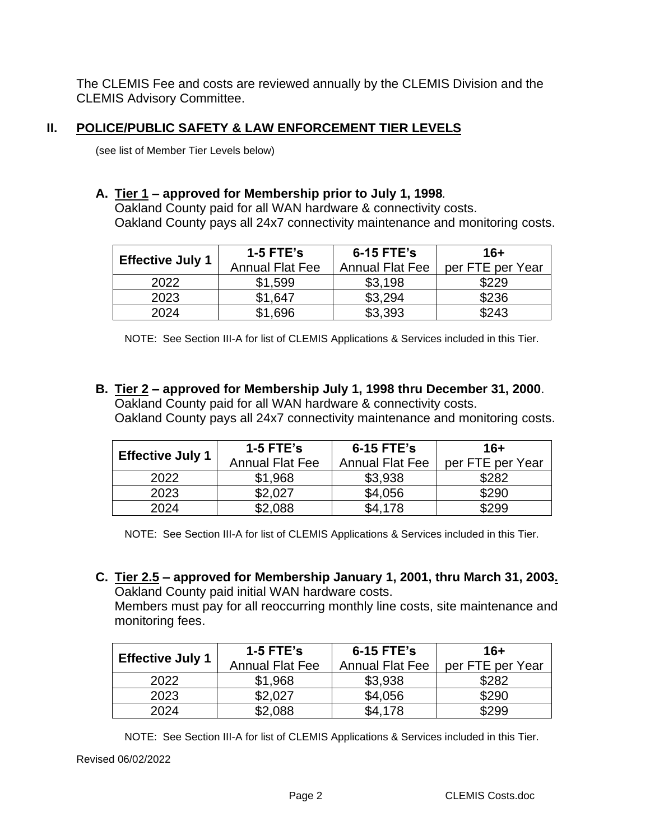The CLEMIS Fee and costs are reviewed annually by the CLEMIS Division and the CLEMIS Advisory Committee.

### **II. POLICE/PUBLIC SAFETY & LAW ENFORCEMENT TIER LEVELS**

(see list of Member Tier Levels below)

#### **A. Tier 1 – approved for Membership prior to July 1, 1998***.*

Oakland County paid for all WAN hardware & connectivity costs. Oakland County pays all 24x7 connectivity maintenance and monitoring costs.

| <b>Effective July 1</b> | 1-5 $FTE's$<br><b>Annual Flat Fee</b> | 6-15 FTE's<br><b>Annual Flat Fee</b> | 16+<br>per FTE per Year |
|-------------------------|---------------------------------------|--------------------------------------|-------------------------|
| 2022                    | \$1,599                               | \$3,198                              | \$229                   |
| 2023                    | \$1.647                               | \$3.294                              | \$236                   |
| 2024                    | <sup></sup> *1,696                    | \$3,393                              | \$243                   |

NOTE: See Section III-A for list of CLEMIS Applications & Services included in this Tier.

**B. Tier 2 – approved for Membership July 1, 1998 thru December 31, 2000**. Oakland County paid for all WAN hardware & connectivity costs.

Oakland County pays all 24x7 connectivity maintenance and monitoring costs.

| <b>Effective July 1</b> | $1-5$ FTE's<br><b>Annual Flat Fee</b> | 6-15 FTE's<br><b>Annual Flat Fee</b> | 16+<br>per FTE per Year |
|-------------------------|---------------------------------------|--------------------------------------|-------------------------|
|                         |                                       |                                      |                         |
| 2022                    | \$1,968                               | \$3,938                              | \$282                   |
| 2023                    | \$2.027                               | \$4,056                              | \$290                   |
| 2024                    | \$2,088                               | \$4,178                              | \$299                   |

NOTE: See Section III-A for list of CLEMIS Applications & Services included in this Tier.

**C. Tier 2.5 – approved for Membership January 1, 2001, thru March 31, 2003.**  Oakland County paid initial WAN hardware costs. Members must pay for all reoccurring monthly line costs, site maintenance and

monitoring fees.

|                         | $1-5$ FTE's            | 6-15 FTE's             | 16+              |
|-------------------------|------------------------|------------------------|------------------|
| <b>Effective July 1</b> | <b>Annual Flat Fee</b> | <b>Annual Flat Fee</b> | per FTE per Year |
| 2022                    | \$1,968                | \$3,938                | \$282            |
| 2023                    | \$2.027                | \$4,056                | \$290            |
| 2024                    | \$2,088                | \$4,178                | \$299            |

NOTE: See Section III-A for list of CLEMIS Applications & Services included in this Tier.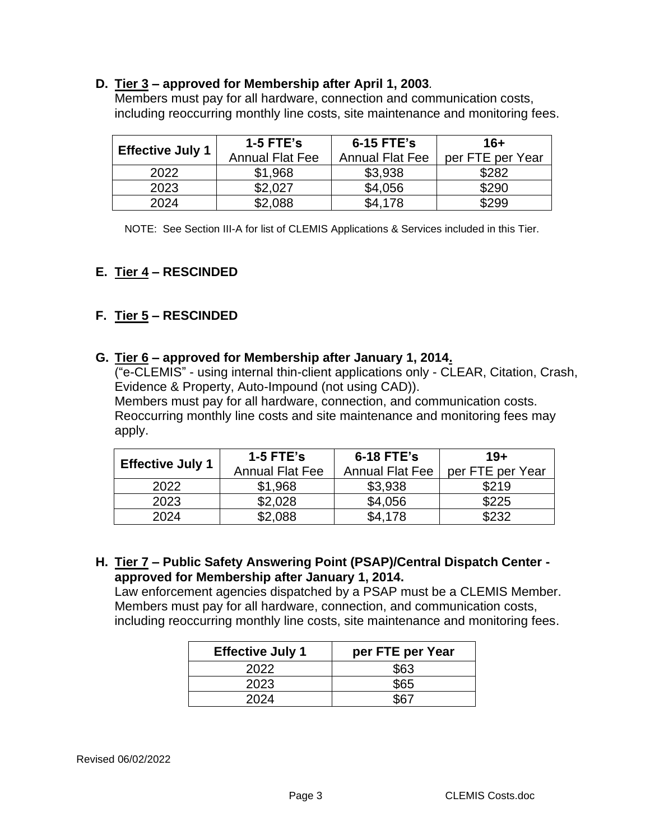#### **D. Tier 3 – approved for Membership after April 1, 2003***.*

Members must pay for all hardware, connection and communication costs, including reoccurring monthly line costs, site maintenance and monitoring fees.

| <b>Effective July 1</b> | $1-5$ FTE's            | 6-15 FTE's             | $16+$            |
|-------------------------|------------------------|------------------------|------------------|
|                         | <b>Annual Flat Fee</b> | <b>Annual Flat Fee</b> | per FTE per Year |
| 2022                    | \$1,968                | \$3,938                | \$282            |
| 2023                    | \$2.027                | \$4,056                | \$290            |
| 2024                    | \$2,088                | \$4,178                | \$299            |

NOTE: See Section III-A for list of CLEMIS Applications & Services included in this Tier.

# **E. Tier 4 – RESCINDED**

# **F. Tier 5 – RESCINDED**

### **G. Tier 6 – approved for Membership after January 1, 2014.**

("e-CLEMIS" - using internal thin-client applications only - CLEAR, Citation, Crash, Evidence & Property, Auto-Impound (not using CAD)). Members must pay for all hardware, connection, and communication costs.

Reoccurring monthly line costs and site maintenance and monitoring fees may apply.

|                         | $1-5$ FTE's            | 6-18 FTE's             | $19+$            |
|-------------------------|------------------------|------------------------|------------------|
| <b>Effective July 1</b> | <b>Annual Flat Fee</b> | <b>Annual Flat Fee</b> | per FTE per Year |
| 2022                    | \$1,968                | \$3,938                | \$219            |
| 2023                    | \$2,028                | \$4,056                | \$225            |
| 2024                    | \$2,088                | \$4.178                | \$232            |

**H. Tier 7 – Public Safety Answering Point (PSAP)/Central Dispatch Center approved for Membership after January 1, 2014.**

Law enforcement agencies dispatched by a PSAP must be a CLEMIS Member. Members must pay for all hardware, connection, and communication costs, including reoccurring monthly line costs, site maintenance and monitoring fees.

| <b>Effective July 1</b> | per FTE per Year |
|-------------------------|------------------|
| 2022                    | \$63             |
| 2023                    | \$65             |
| 2024                    |                  |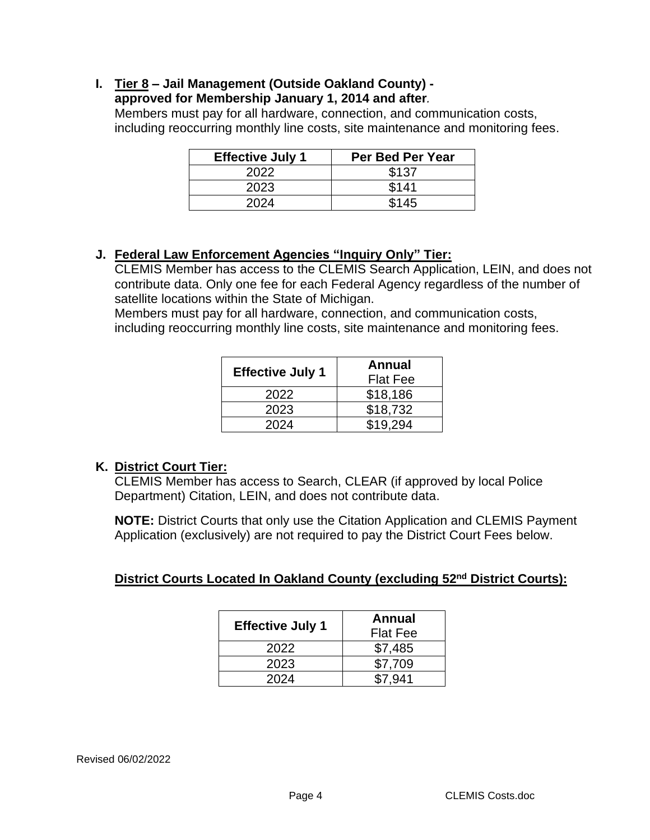### **I. Tier 8 – Jail Management (Outside Oakland County) -**

#### **approved for Membership January 1, 2014 and after***.*

Members must pay for all hardware, connection, and communication costs, including reoccurring monthly line costs, site maintenance and monitoring fees.

| <b>Effective July 1</b> | Per Bed Per Year |
|-------------------------|------------------|
| 2022                    | \$137            |
| 2023                    | \$141            |
| 2024                    | \$145            |

### **J. Federal Law Enforcement Agencies "Inquiry Only" Tier:**

CLEMIS Member has access to the CLEMIS Search Application, LEIN, and does not contribute data. Only one fee for each Federal Agency regardless of the number of satellite locations within the State of Michigan.

Members must pay for all hardware, connection, and communication costs, including reoccurring monthly line costs, site maintenance and monitoring fees.

| <b>Effective July 1</b> | Annual<br><b>Flat Fee</b> |
|-------------------------|---------------------------|
| 2022                    | \$18,186                  |
| 2023                    | \$18,732                  |
| 2024                    | \$19.294                  |

## **K. District Court Tier:**

CLEMIS Member has access to Search, CLEAR (if approved by local Police Department) Citation, LEIN, and does not contribute data.

**NOTE:** District Courts that only use the Citation Application and CLEMIS Payment Application (exclusively) are not required to pay the District Court Fees below.

# **District Courts Located In Oakland County (excluding 52nd District Courts):**

| <b>Effective July 1</b> | <b>Annual</b><br><b>Flat Fee</b> |
|-------------------------|----------------------------------|
| 2022                    | \$7,485                          |
| 2023                    | \$7,709                          |
| 2024                    | \$7.941                          |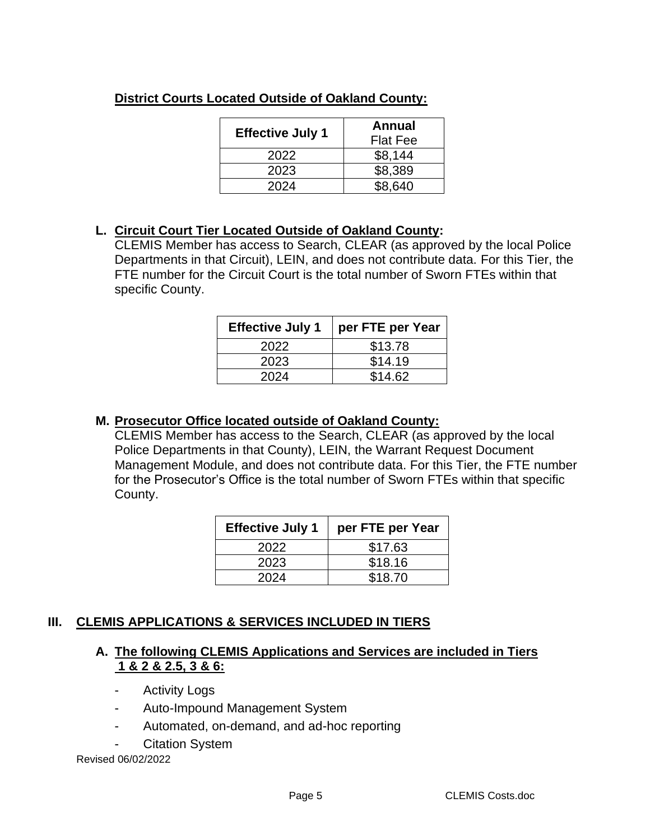| <b>Effective July 1</b> | Annual<br><b>Flat Fee</b> |
|-------------------------|---------------------------|
| 2022                    | \$8,144                   |
| 2023                    | \$8,389                   |
| 2024                    | \$8,640                   |

# **District Courts Located Outside of Oakland County:**

# **L. Circuit Court Tier Located Outside of Oakland County:**

CLEMIS Member has access to Search, CLEAR (as approved by the local Police Departments in that Circuit), LEIN, and does not contribute data. For this Tier, the FTE number for the Circuit Court is the total number of Sworn FTEs within that specific County.

| <b>Effective July 1</b> | per FTE per Year |
|-------------------------|------------------|
| 2022                    | \$13.78          |
| 2023                    | \$14.19          |
| 2024                    | \$14.62          |

## **M. Prosecutor Office located outside of Oakland County:**

CLEMIS Member has access to the Search, CLEAR (as approved by the local Police Departments in that County), LEIN, the Warrant Request Document Management Module, and does not contribute data. For this Tier, the FTE number for the Prosecutor's Office is the total number of Sworn FTEs within that specific County.

| <b>Effective July 1</b> | per FTE per Year |
|-------------------------|------------------|
| 2022                    | \$17.63          |
| 2023                    | \$18.16          |
| 2024                    | \$18.70          |

# **III. CLEMIS APPLICATIONS & SERVICES INCLUDED IN TIERS**

## **A. The following CLEMIS Applications and Services are included in Tiers 1 & 2 & 2.5, 3 & 6:**

- Activity Logs
- Auto-Impound Management System
- Automated, on-demand, and ad-hoc reporting
- Citation System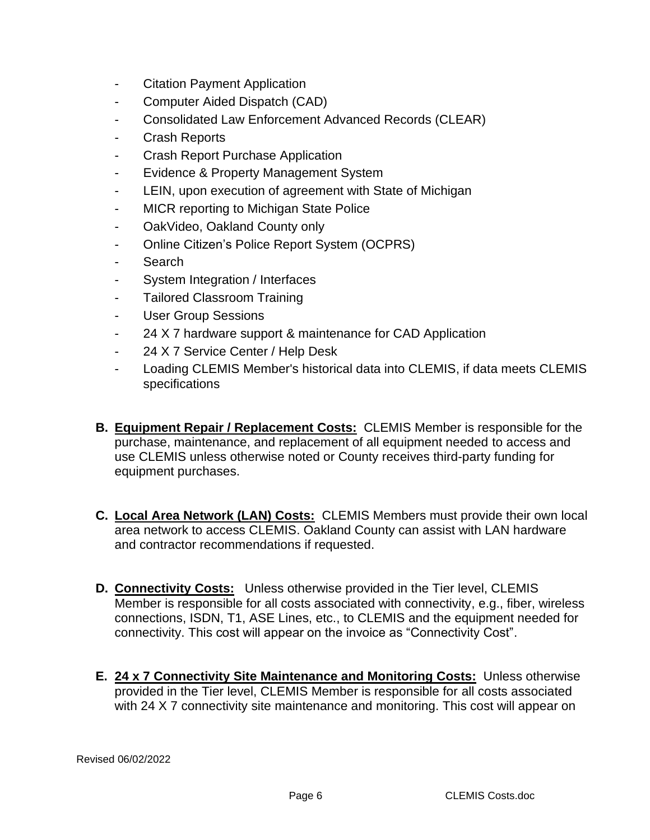- Citation Payment Application
- Computer Aided Dispatch (CAD)
- Consolidated Law Enforcement Advanced Records (CLEAR)
- Crash Reports
- Crash Report Purchase Application
- Evidence & Property Management System
- LEIN, upon execution of agreement with State of Michigan
- MICR reporting to Michigan State Police
- OakVideo, Oakland County only
- Online Citizen's Police Report System (OCPRS)
- Search
- System Integration / Interfaces
- Tailored Classroom Training
- User Group Sessions
- 24 X 7 hardware support & maintenance for CAD Application
- 24 X 7 Service Center / Help Desk
- Loading CLEMIS Member's historical data into CLEMIS, if data meets CLEMIS specifications
- **B. Equipment Repair / Replacement Costs:** CLEMIS Member is responsible for the purchase, maintenance, and replacement of all equipment needed to access and use CLEMIS unless otherwise noted or County receives third-party funding for equipment purchases.
- **C. Local Area Network (LAN) Costs:** CLEMIS Members must provide their own local area network to access CLEMIS. Oakland County can assist with LAN hardware and contractor recommendations if requested.
- **D. Connectivity Costs:** Unless otherwise provided in the Tier level, CLEMIS Member is responsible for all costs associated with connectivity, e.g., fiber, wireless connections, ISDN, T1, ASE Lines, etc., to CLEMIS and the equipment needed for connectivity. This cost will appear on the invoice as "Connectivity Cost".
- **E. 24 x 7 Connectivity Site Maintenance and Monitoring Costs:** Unless otherwise provided in the Tier level, CLEMIS Member is responsible for all costs associated with 24 X 7 connectivity site maintenance and monitoring. This cost will appear on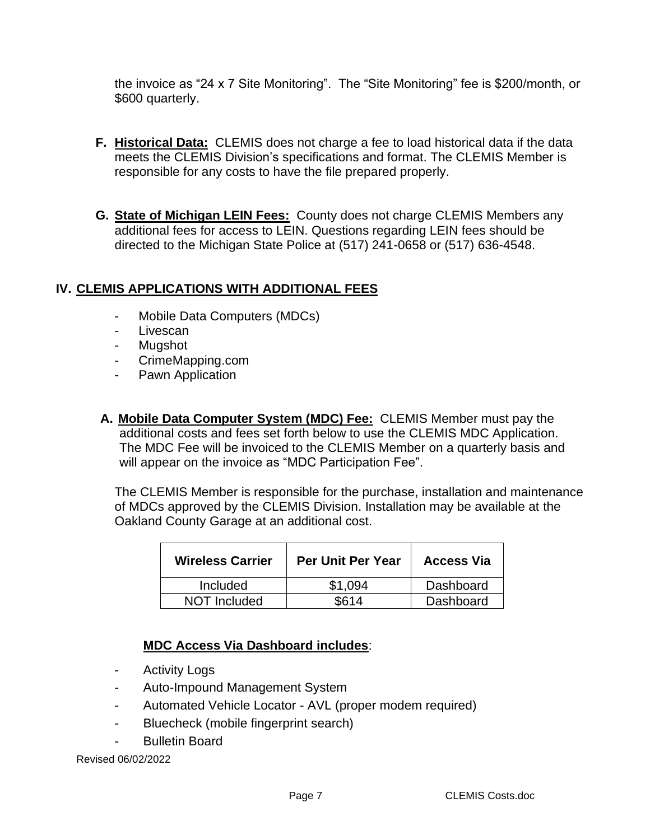the invoice as "24 x 7 Site Monitoring". The "Site Monitoring" fee is \$200/month, or \$600 quarterly.

- **F. Historical Data:** CLEMIS does not charge a fee to load historical data if the data meets the CLEMIS Division's specifications and format. The CLEMIS Member is responsible for any costs to have the file prepared properly.
- **G. State of Michigan LEIN Fees:** County does not charge CLEMIS Members any additional fees for access to LEIN. Questions regarding LEIN fees should be directed to the Michigan State Police at (517) 241-0658 or (517) 636-4548.

## **IV. CLEMIS APPLICATIONS WITH ADDITIONAL FEES**

- Mobile Data Computers (MDCs)
- Livescan
- **Muashot**
- CrimeMapping.com
- Pawn Application
- **A. Mobile Data Computer System (MDC) Fee:** CLEMIS Member must pay the additional costs and fees set forth below to use the CLEMIS MDC Application. The MDC Fee will be invoiced to the CLEMIS Member on a quarterly basis and will appear on the invoice as "MDC Participation Fee".

The CLEMIS Member is responsible for the purchase, installation and maintenance of MDCs approved by the CLEMIS Division. Installation may be available at the Oakland County Garage at an additional cost.

| <b>Wireless Carrier</b> | <b>Per Unit Per Year</b> | <b>Access Via</b> |
|-------------------------|--------------------------|-------------------|
| <b>Included</b>         | \$1.094                  | Dashboard         |
| NOT Included            | SG14                     | Dashboard         |

## **MDC Access Via Dashboard includes**:

- Activity Logs
- Auto-Impound Management System
- Automated Vehicle Locator AVL (proper modem required)
- Bluecheck (mobile fingerprint search)
- Bulletin Board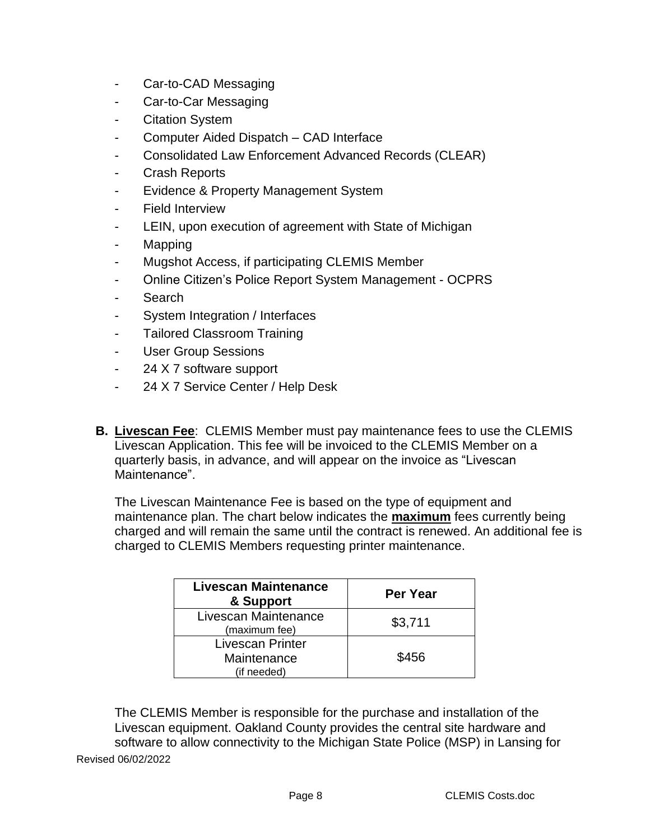- Car-to-CAD Messaging
- Car-to-Car Messaging
- Citation System
- Computer Aided Dispatch CAD Interface
- Consolidated Law Enforcement Advanced Records (CLEAR)
- Crash Reports
- Evidence & Property Management System
- Field Interview
- LEIN, upon execution of agreement with State of Michigan
- Mapping
- Mugshot Access, if participating CLEMIS Member
- Online Citizen's Police Report System Management OCPRS
- **Search**
- System Integration / Interfaces
- Tailored Classroom Training
- User Group Sessions
- 24 X 7 software support
- 24 X 7 Service Center / Help Desk
- **B. Livescan Fee**: CLEMIS Member must pay maintenance fees to use the CLEMIS Livescan Application. This fee will be invoiced to the CLEMIS Member on a quarterly basis, in advance, and will appear on the invoice as "Livescan Maintenance".

The Livescan Maintenance Fee is based on the type of equipment and maintenance plan. The chart below indicates the **maximum** fees currently being charged and will remain the same until the contract is renewed. An additional fee is charged to CLEMIS Members requesting printer maintenance.

| <b>Livescan Maintenance</b><br>& Support | <b>Per Year</b> |
|------------------------------------------|-----------------|
| Livescan Maintenance<br>(maximum fee)    | \$3,711         |
| <b>Livescan Printer</b>                  |                 |
| Maintenance                              | \$456           |
| (if needed)                              |                 |

Revised 06/02/2022 The CLEMIS Member is responsible for the purchase and installation of the Livescan equipment. Oakland County provides the central site hardware and software to allow connectivity to the Michigan State Police (MSP) in Lansing for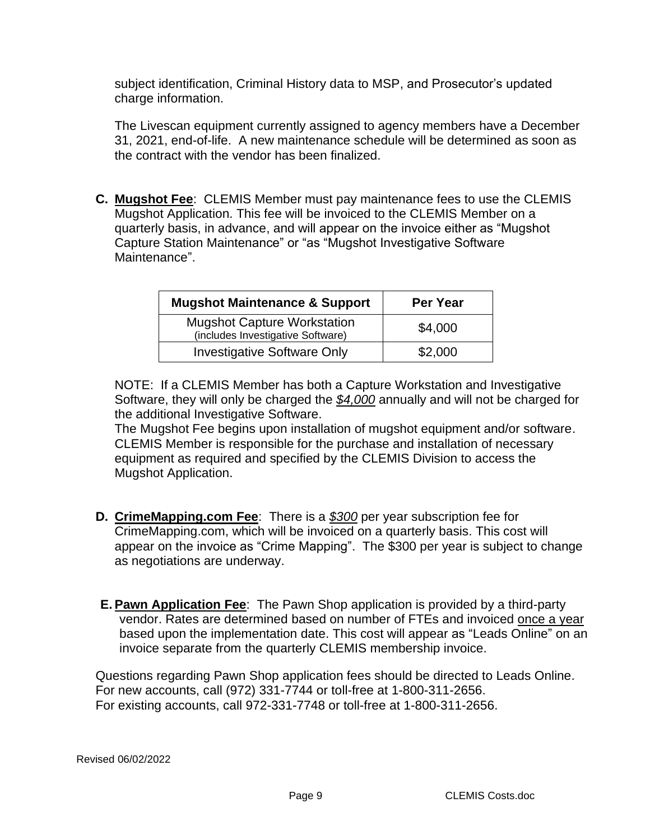subject identification, Criminal History data to MSP, and Prosecutor's updated charge information.

The Livescan equipment currently assigned to agency members have a December 31, 2021, end-of-life. A new maintenance schedule will be determined as soon as the contract with the vendor has been finalized.

**C. Mugshot Fee**: CLEMIS Member must pay maintenance fees to use the CLEMIS Mugshot Application. This fee will be invoiced to the CLEMIS Member on a quarterly basis, in advance, and will appear on the invoice either as "Mugshot Capture Station Maintenance" or "as "Mugshot Investigative Software Maintenance".

| <b>Mugshot Maintenance &amp; Support</b>                                | Per Year |
|-------------------------------------------------------------------------|----------|
| <b>Mugshot Capture Workstation</b><br>(includes Investigative Software) | \$4,000  |
| <b>Investigative Software Only</b>                                      | \$2,000  |

NOTE: If a CLEMIS Member has both a Capture Workstation and Investigative Software, they will only be charged the *\$4,000* annually and will not be charged for the additional Investigative Software.

The Mugshot Fee begins upon installation of mugshot equipment and/or software. CLEMIS Member is responsible for the purchase and installation of necessary equipment as required and specified by the CLEMIS Division to access the Mugshot Application.

- **D. CrimeMapping.com Fee**: There is a *\$300* per year subscription fee for CrimeMapping.com, which will be invoiced on a quarterly basis. This cost will appear on the invoice as "Crime Mapping". The \$300 per year is subject to change as negotiations are underway.
- **E. Pawn Application Fee**: The Pawn Shop application is provided by a third-party vendor. Rates are determined based on number of FTEs and invoiced once a year based upon the implementation date. This cost will appear as "Leads Online" on an invoice separate from the quarterly CLEMIS membership invoice.

Questions regarding Pawn Shop application fees should be directed to Leads Online. For new accounts, call (972) 331-7744 or toll-free at 1-800-311-2656. For existing accounts, call 972-331-7748 or toll-free at 1-800-311-2656.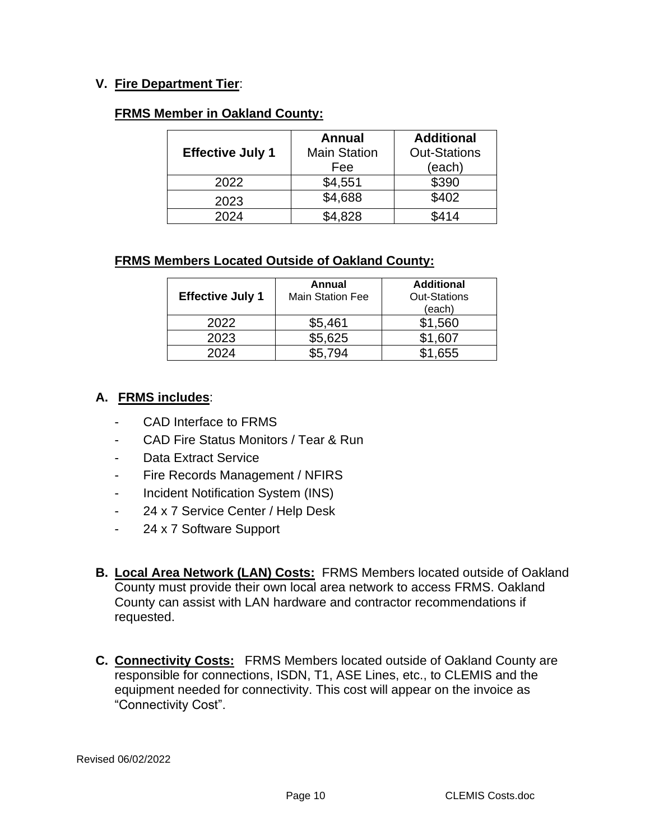### **V. Fire Department Tier**:

#### **FRMS Member in Oakland County:**

|                         | <b>Annual</b>       | <b>Additional</b>   |
|-------------------------|---------------------|---------------------|
| <b>Effective July 1</b> | <b>Main Station</b> | <b>Out-Stations</b> |
|                         | Fee                 | (each)              |
| 2022                    | \$4,551             | \$390               |
| 2023                    | \$4,688             | \$402               |
| 2024                    | \$4.828             | \$414               |

## **FRMS Members Located Outside of Oakland County:**

| <b>Effective July 1</b> | Annual<br><b>Main Station Fee</b> | <b>Additional</b><br><b>Out-Stations</b><br>(each) |
|-------------------------|-----------------------------------|----------------------------------------------------|
| 2022                    | \$5,461                           | \$1,560                                            |
| 2023                    | \$5,625                           | \$1,607                                            |
| 2024                    | 794                               | 655                                                |

#### **A. FRMS includes**:

- CAD Interface to FRMS
- CAD Fire Status Monitors / Tear & Run
- Data Extract Service
- Fire Records Management / NFIRS
- Incident Notification System (INS)
- 24 x 7 Service Center / Help Desk
- 24 x 7 Software Support
- **B. Local Area Network (LAN) Costs:** FRMS Members located outside of Oakland County must provide their own local area network to access FRMS. Oakland County can assist with LAN hardware and contractor recommendations if requested.
- **C. Connectivity Costs:** FRMS Members located outside of Oakland County are responsible for connections, ISDN, T1, ASE Lines, etc., to CLEMIS and the equipment needed for connectivity. This cost will appear on the invoice as "Connectivity Cost".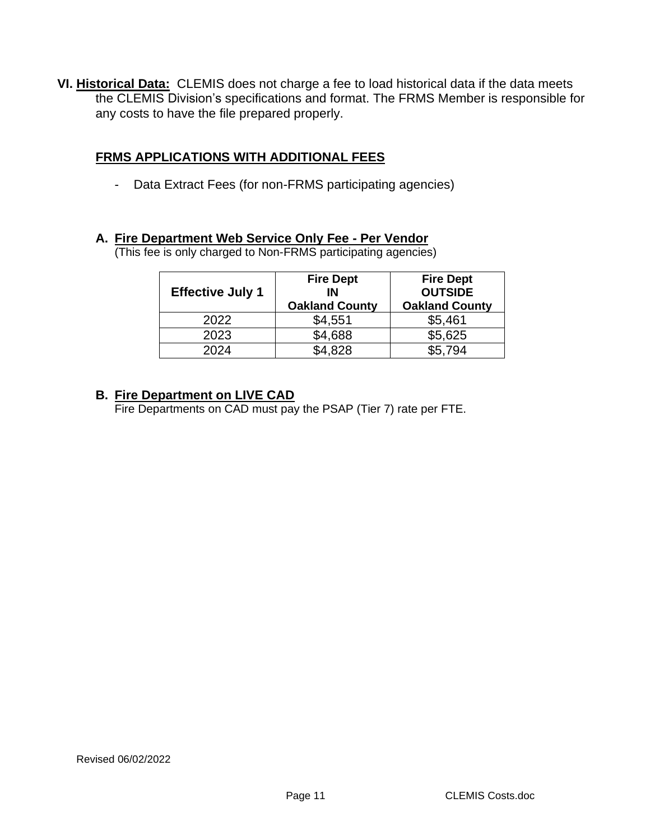**VI. Historical Data:** CLEMIS does not charge a fee to load historical data if the data meets the CLEMIS Division's specifications and format. The FRMS Member is responsible for any costs to have the file prepared properly.

## **FRMS APPLICATIONS WITH ADDITIONAL FEES**

- Data Extract Fees (for non-FRMS participating agencies)

#### **A. Fire Department Web Service Only Fee - Per Vendor**

(This fee is only charged to Non-FRMS participating agencies)

|                         | <b>Fire Dept</b>      | <b>Fire Dept</b>      |
|-------------------------|-----------------------|-----------------------|
| <b>Effective July 1</b> | IN                    | <b>OUTSIDE</b>        |
|                         | <b>Oakland County</b> | <b>Oakland County</b> |
| 2022                    | \$4,551               | \$5,461               |
| 2023                    | \$4,688               | \$5,625               |
| 2024                    | \$4.828               | \$5.794               |

#### **B. Fire Department on LIVE CAD**

Fire Departments on CAD must pay the PSAP (Tier 7) rate per FTE.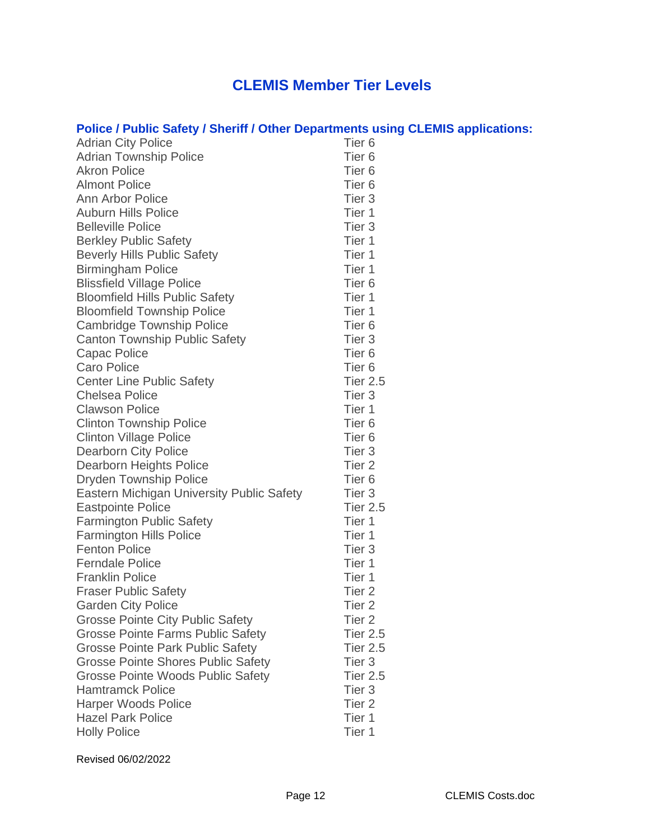# **CLEMIS Member Tier Levels**

# **Police / Public Safety / Sheriff / Other Departments using CLEMIS applications:**

| <b>Adrian City Police</b>                        | Tier <sub>6</sub> |
|--------------------------------------------------|-------------------|
| <b>Adrian Township Police</b>                    | Tier <sub>6</sub> |
| <b>Akron Police</b>                              | Tier <sub>6</sub> |
| <b>Almont Police</b>                             | Tier <sub>6</sub> |
| <b>Ann Arbor Police</b>                          | Tier <sub>3</sub> |
| <b>Auburn Hills Police</b>                       | Tier 1            |
| <b>Belleville Police</b>                         | Tier <sub>3</sub> |
| <b>Berkley Public Safety</b>                     | Tier 1            |
| <b>Beverly Hills Public Safety</b>               | Tier 1            |
| <b>Birmingham Police</b>                         | Tier 1            |
| <b>Blissfield Village Police</b>                 | Tier <sub>6</sub> |
| <b>Bloomfield Hills Public Safety</b>            | Tier 1            |
| <b>Bloomfield Township Police</b>                | Tier 1            |
| <b>Cambridge Township Police</b>                 | Tier <sub>6</sub> |
| <b>Canton Township Public Safety</b>             | Tier <sub>3</sub> |
| <b>Capac Police</b>                              | Tier <sub>6</sub> |
| <b>Caro Police</b>                               | Tier <sub>6</sub> |
| <b>Center Line Public Safety</b>                 | <b>Tier 2.5</b>   |
| <b>Chelsea Police</b>                            | Tier <sub>3</sub> |
| <b>Clawson Police</b>                            | Tier 1            |
| <b>Clinton Township Police</b>                   | Tier <sub>6</sub> |
| <b>Clinton Village Police</b>                    | Tier <sub>6</sub> |
| <b>Dearborn City Police</b>                      | Tier <sub>3</sub> |
| <b>Dearborn Heights Police</b>                   | Tier <sub>2</sub> |
| <b>Dryden Township Police</b>                    | Tier <sub>6</sub> |
| <b>Eastern Michigan University Public Safety</b> | Tier <sub>3</sub> |
| <b>Eastpointe Police</b>                         | <b>Tier 2.5</b>   |
| <b>Farmington Public Safety</b>                  | Tier 1            |
| <b>Farmington Hills Police</b>                   | Tier 1            |
| <b>Fenton Police</b>                             | Tier <sub>3</sub> |
| <b>Ferndale Police</b>                           | Tier 1            |
| <b>Franklin Police</b>                           | Tier 1            |
| <b>Fraser Public Safety</b>                      | Tier <sub>2</sub> |
| <b>Garden City Police</b>                        | Tier <sub>2</sub> |
| <b>Grosse Pointe City Public Safety</b>          | Tier <sub>2</sub> |
| <b>Grosse Pointe Farms Public Safety</b>         | <b>Tier 2.5</b>   |
| <b>Grosse Pointe Park Public Safety</b>          | <b>Tier 2.5</b>   |
| <b>Grosse Pointe Shores Public Safety</b>        | Tier <sub>3</sub> |
| <b>Grosse Pointe Woods Public Safety</b>         | <b>Tier 2.5</b>   |
| <b>Hamtramck Police</b>                          | Tier <sub>3</sub> |
| <b>Harper Woods Police</b>                       | Tier <sub>2</sub> |
| <b>Hazel Park Police</b>                         | Tier 1            |
| <b>Holly Police</b>                              | Tier 1            |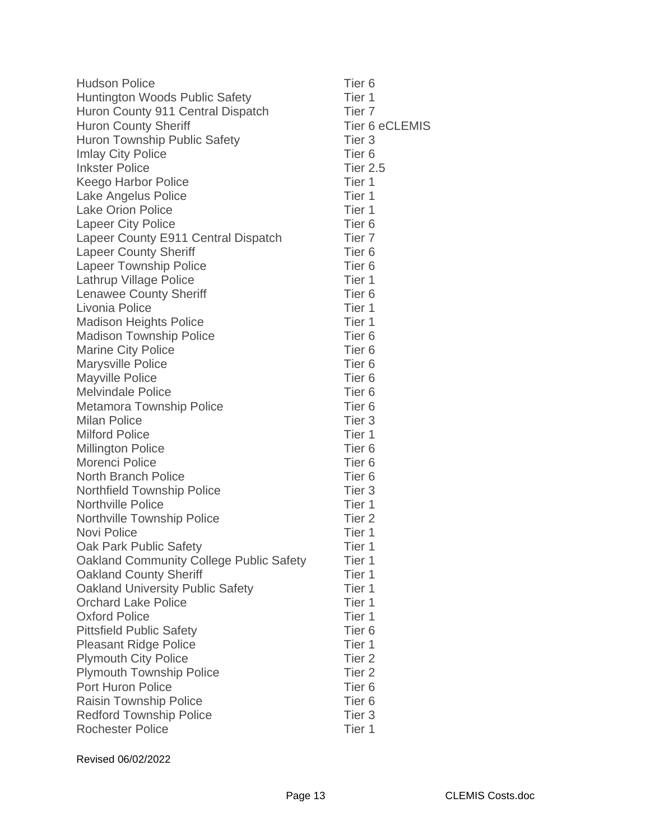| <b>Hudson Police</b>                           | Tier <sub>6</sub> |
|------------------------------------------------|-------------------|
| <b>Huntington Woods Public Safety</b>          | Tier 1            |
| Huron County 911 Central Dispatch              | Tier <sub>7</sub> |
| <b>Huron County Sheriff</b>                    | Tier 6 eCLEMIS    |
| <b>Huron Township Public Safety</b>            | Tier <sub>3</sub> |
| <b>Imlay City Police</b>                       | Tier <sub>6</sub> |
| <b>Inkster Police</b>                          | <b>Tier 2.5</b>   |
| <b>Keego Harbor Police</b>                     | Tier 1            |
| Lake Angelus Police                            | Tier 1            |
| <b>Lake Orion Police</b>                       | Tier 1            |
| <b>Lapeer City Police</b>                      | Tier <sub>6</sub> |
| Lapeer County E911 Central Dispatch            | Tier <sub>7</sub> |
| <b>Lapeer County Sheriff</b>                   | Tier <sub>6</sub> |
| <b>Lapeer Township Police</b>                  | Tier <sub>6</sub> |
| Lathrup Village Police                         | Tier 1            |
| <b>Lenawee County Sheriff</b>                  | Tier <sub>6</sub> |
| Livonia Police                                 | Tier 1            |
| <b>Madison Heights Police</b>                  | Tier 1            |
| <b>Madison Township Police</b>                 | Tier <sub>6</sub> |
| <b>Marine City Police</b>                      | Tier <sub>6</sub> |
| <b>Marysville Police</b>                       | Tier <sub>6</sub> |
| <b>Mayville Police</b>                         | Tier <sub>6</sub> |
| <b>Melvindale Police</b>                       | Tier <sub>6</sub> |
| <b>Metamora Township Police</b>                | Tier <sub>6</sub> |
| <b>Milan Police</b>                            | Tier <sub>3</sub> |
| <b>Milford Police</b>                          | Tier 1            |
| <b>Millington Police</b>                       | Tier <sub>6</sub> |
| Morenci Police                                 | Tier <sub>6</sub> |
| <b>North Branch Police</b>                     | Tier <sub>6</sub> |
| <b>Northfield Township Police</b>              | Tier <sub>3</sub> |
| <b>Northville Police</b>                       | Tier 1            |
| Northville Township Police                     | Tier <sub>2</sub> |
| Novi Police                                    | Tier 1            |
| Oak Park Public Safety                         | Tier 1            |
| <b>Oakland Community College Public Safety</b> | Tier 1            |
| <b>Oakland County Sheriff</b>                  | Tier 1            |
| Oakland University Public Safety               | Tier 1            |
| <b>Orchard Lake Police</b>                     | Tier 1            |
| <b>Oxford Police</b>                           | Tier 1            |
| <b>Pittsfield Public Safety</b>                | Tier <sub>6</sub> |
| <b>Pleasant Ridge Police</b>                   | Tier 1            |
| <b>Plymouth City Police</b>                    | Tier <sub>2</sub> |
| <b>Plymouth Township Police</b>                | Tier <sub>2</sub> |
| Port Huron Police                              | Tier <sub>6</sub> |
| <b>Raisin Township Police</b>                  | Tier <sub>6</sub> |
| <b>Redford Township Police</b>                 | Tier <sub>3</sub> |
| <b>Rochester Police</b>                        | Tier 1            |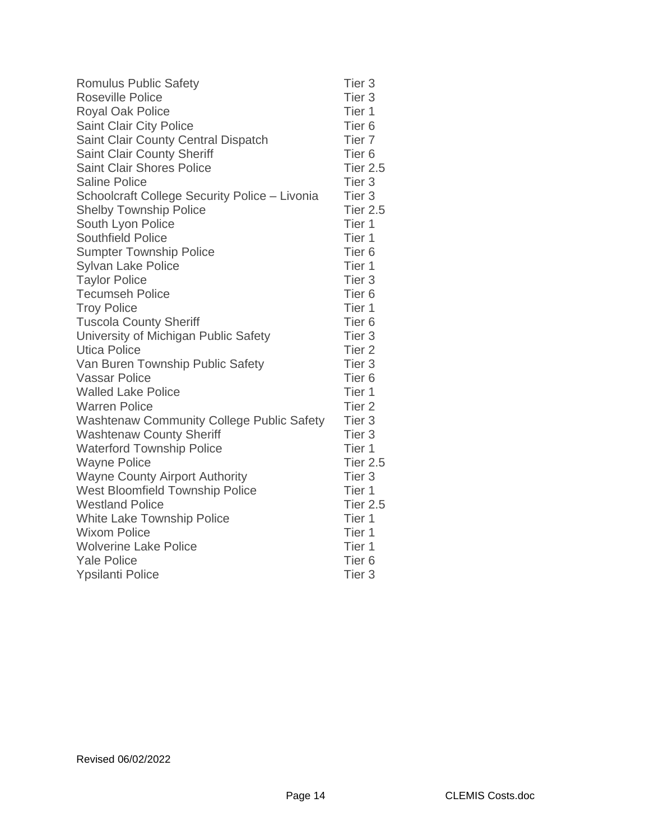| <b>Romulus Public Safety</b>                     | Tier <sub>3</sub> |
|--------------------------------------------------|-------------------|
| <b>Roseville Police</b>                          | Tier <sub>3</sub> |
| <b>Royal Oak Police</b>                          | Tier 1            |
| Saint Clair City Police                          | Tier <sub>6</sub> |
| Saint Clair County Central Dispatch              | Tier <sub>7</sub> |
| <b>Saint Clair County Sheriff</b>                | Tier <sub>6</sub> |
| <b>Saint Clair Shores Police</b>                 | <b>Tier 2.5</b>   |
| <b>Saline Police</b>                             | Tier <sub>3</sub> |
| Schoolcraft College Security Police - Livonia    | Tier <sub>3</sub> |
| <b>Shelby Township Police</b>                    | <b>Tier 2.5</b>   |
| South Lyon Police                                | Tier 1            |
| <b>Southfield Police</b>                         | Tier 1            |
| <b>Sumpter Township Police</b>                   | Tier <sub>6</sub> |
| <b>Sylvan Lake Police</b>                        | Tier 1            |
| <b>Taylor Police</b>                             | Tier <sub>3</sub> |
| <b>Tecumseh Police</b>                           | Tier <sub>6</sub> |
| <b>Troy Police</b>                               | Tier 1            |
| <b>Tuscola County Sheriff</b>                    | Tier <sub>6</sub> |
| University of Michigan Public Safety             | Tier <sub>3</sub> |
| <b>Utica Police</b>                              | Tier <sub>2</sub> |
| Van Buren Township Public Safety                 | Tier <sub>3</sub> |
| <b>Vassar Police</b>                             | Tier <sub>6</sub> |
| <b>Walled Lake Police</b>                        | Tier 1            |
| <b>Warren Police</b>                             | Tier <sub>2</sub> |
| <b>Washtenaw Community College Public Safety</b> | Tier <sub>3</sub> |
| <b>Washtenaw County Sheriff</b>                  | Tier <sub>3</sub> |
| <b>Waterford Township Police</b>                 | Tier 1            |
| <b>Wayne Police</b>                              | <b>Tier 2.5</b>   |
| <b>Wayne County Airport Authority</b>            | Tier <sub>3</sub> |
| West Bloomfield Township Police                  | Tier 1            |
| <b>Westland Police</b>                           | <b>Tier 2.5</b>   |
| White Lake Township Police                       | Tier 1            |
| <b>Wixom Police</b>                              | Tier 1            |
| <b>Wolverine Lake Police</b>                     | Tier 1            |
| <b>Yale Police</b>                               | Tier <sub>6</sub> |
| <b>Ypsilanti Police</b>                          | Tier <sub>3</sub> |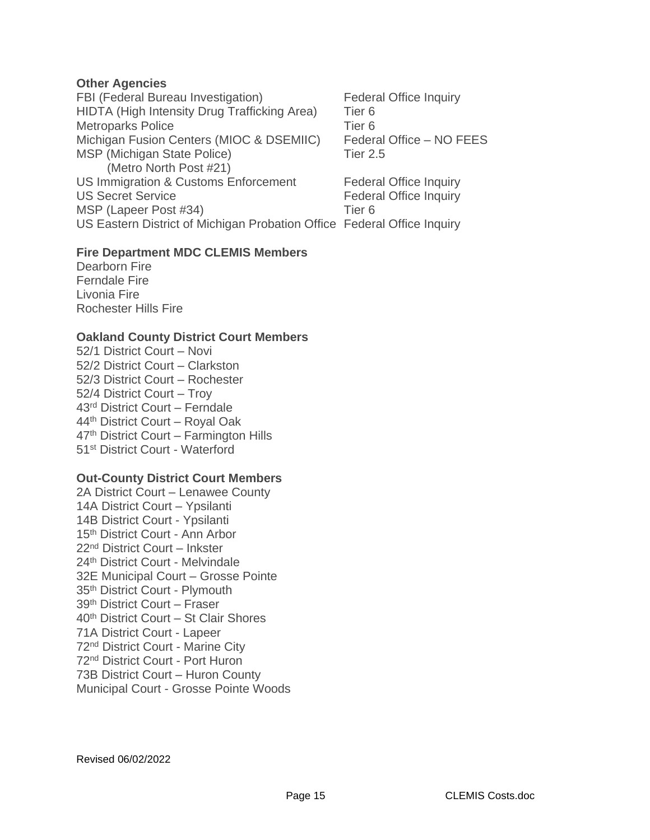#### **Other Agencies**

FBI (Federal Bureau Investigation) Federal Office Inquiry HIDTA (High Intensity Drug Trafficking Area) Tier 6<br>Metroparks Police Tier 6 Metroparks Police Michigan Fusion Centers (MIOC & DSEMIIC) Federal Office – NO FEES MSP (Michigan State Police) Tier 2.5 (Metro North Post #21) US Immigration & Customs Enforcement Federal Office Inquiry US Secret Service **Federal Office Inquiry** MSP (Lapeer Post #34) Tier 6 US Eastern District of Michigan Probation Office Federal Office Inquiry

#### **Fire Department MDC CLEMIS Members**

Dearborn Fire Ferndale Fire Livonia Fire Rochester Hills Fire

#### **Oakland County District Court Members**

52/1 District Court – Novi 52/2 District Court – Clarkston 52/3 District Court – Rochester 52/4 District Court – Troy 43rd District Court – Ferndale 44th District Court – Royal Oak 47th District Court – Farmington Hills 51<sup>st</sup> District Court - Waterford

#### **Out-County District Court Members**

2A District Court – Lenawee County 14A District Court – Ypsilanti 14B District Court - Ypsilanti 15<sup>th</sup> District Court - Ann Arbor 22nd District Court – Inkster 24th District Court - Melvindale 32E Municipal Court – Grosse Pointe 35th District Court - Plymouth 39th District Court – Fraser 40th District Court – St Clair Shores 71A District Court - Lapeer 72nd District Court - Marine City 72nd District Court - Port Huron 73B District Court – Huron County Municipal Court - Grosse Pointe Woods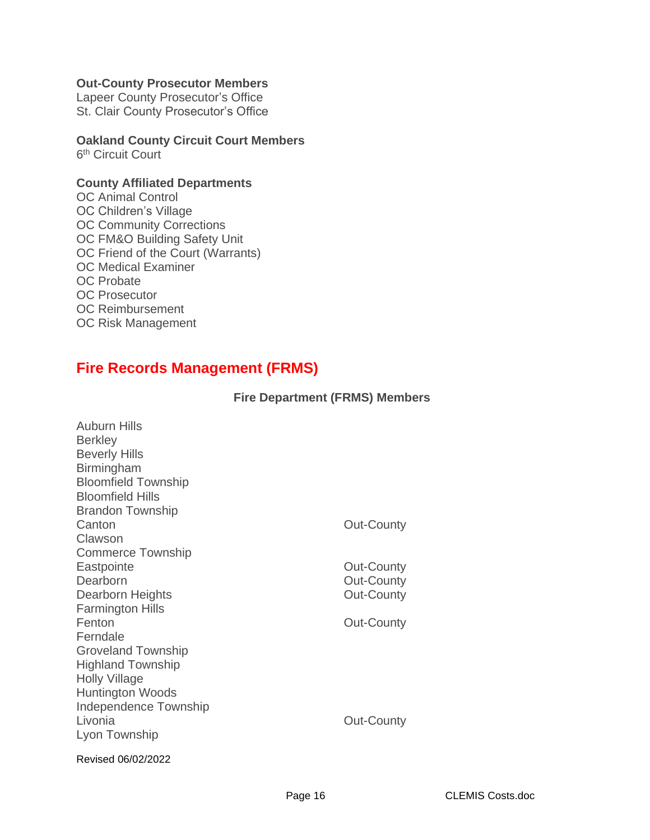#### **Out-County Prosecutor Members**

Lapeer County Prosecutor's Office St. Clair County Prosecutor's Office

#### **Oakland County Circuit Court Members** 6<sup>th</sup> Circuit Court

#### **County Affiliated Departments**

OC Animal Control OC Children's Village OC Community Corrections OC FM&O Building Safety Unit OC Friend of the Court (Warrants) OC Medical Examiner OC Probate OC Prosecutor OC Reimbursement OC Risk Management

# **Fire Records Management (FRMS)**

#### **Fire Department (FRMS) Members**

| Auburn Hills<br><b>Berkley</b><br><b>Beverly Hills</b><br><b>Birmingham</b><br><b>Bloomfield Township</b><br><b>Bloomfield Hills</b><br><b>Brandon Township</b><br>Canton<br>Clawson<br>Commerce Township<br>Eastpointe<br>Dearborn<br>Dearborn Heights<br><b>Farmington Hills</b><br>Fenton<br>Ferndale | Out-County<br>Out-County<br><b>Out-County</b><br>Out-County<br>Out-County |
|----------------------------------------------------------------------------------------------------------------------------------------------------------------------------------------------------------------------------------------------------------------------------------------------------------|---------------------------------------------------------------------------|
| <b>Groveland Township</b><br><b>Highland Township</b><br><b>Holly Village</b><br><b>Huntington Woods</b><br>Independence Township<br>Livonia<br>Lyon Township                                                                                                                                            | <b>Out-County</b>                                                         |
| Revised 06/02/2022                                                                                                                                                                                                                                                                                       |                                                                           |